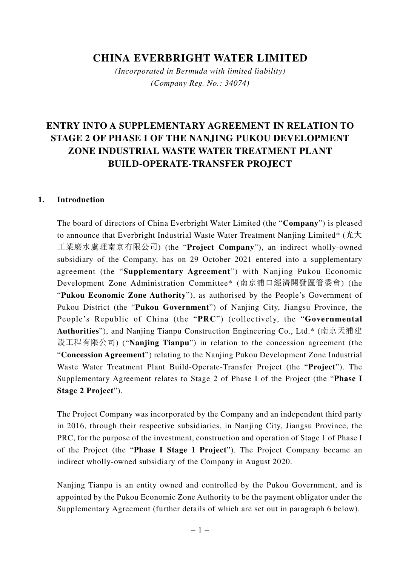# **CHINA EVERBRIGHT WATER LIMITED**

*(Incorporated in Bermuda with limited liability) (Company Reg. No.: 34074)*

# **ENTRY INTO A SUPPLEMENTARY AGREEMENT IN RELATION TO STAGE 2 OF PHASE I OF THE NANJING PUKOU DEVELOPMENT ZONE INDUSTRIAL WASTE WATER TREATMENT PLANT BUILD-OPERATE-TRANSFER PROJECT**

#### **1. Introduction**

The board of directors of China Everbright Water Limited (the "**Company**") is pleased to announce that Everbright Industrial Waste Water Treatment Nanjing Limited\* (光大 工業廢水處理南京有限公司) (the "**Project Company**"), an indirect wholly-owned subsidiary of the Company, has on 29 October 2021 entered into a supplementary agreement (the "**Supplementary Agreement**") with Nanjing Pukou Economic Development Zone Administration Committee\* (南京浦口經濟開發區管委會) (the "**Pukou Economic Zone Authority**"), as authorised by the People's Government of Pukou District (the "**Pukou Government**") of Nanjing City, Jiangsu Province, the People's Republic of China (the "**PRC**") (collectively, the "**Governmental Authorities**"), and Nanjing Tianpu Construction Engineering Co., Ltd.\* (南京天浦建 設工程有限公司) ("**Nanjing Tianpu**") in relation to the concession agreement (the "**Concession Agreement**") relating to the Nanjing Pukou Development Zone Industrial Waste Water Treatment Plant Build-Operate-Transfer Project (the "**Project**"). The Supplementary Agreement relates to Stage 2 of Phase I of the Project (the "**Phase I Stage 2 Project**").

The Project Company was incorporated by the Company and an independent third party in 2016, through their respective subsidiaries, in Nanjing City, Jiangsu Province, the PRC, for the purpose of the investment, construction and operation of Stage 1 of Phase I of the Project (the "**Phase I Stage 1 Project**"). The Project Company became an indirect wholly-owned subsidiary of the Company in August 2020.

Nanjing Tianpu is an entity owned and controlled by the Pukou Government, and is appointed by the Pukou Economic Zone Authority to be the payment obligator under the Supplementary Agreement (further details of which are set out in paragraph 6 below).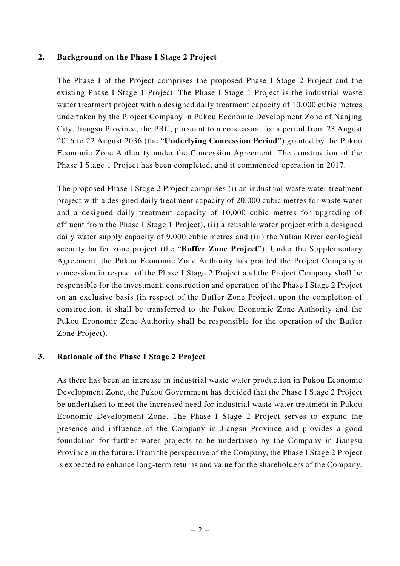#### **2. Background on the Phase I Stage 2 Project**

The Phase I of the Project comprises the proposed Phase I Stage 2 Project and the existing Phase I Stage 1 Project. The Phase I Stage 1 Project is the industrial waste water treatment project with a designed daily treatment capacity of 10,000 cubic metres undertaken by the Project Company in Pukou Economic Development Zone of Nanjing City, Jiangsu Province, the PRC, pursuant to a concession for a period from 23 August 2016 to 22 August 2036 (the "**Underlying Concession Period**") granted by the Pukou Economic Zone Authority under the Concession Agreement. The construction of the Phase I Stage 1 Project has been completed, and it commenced operation in 2017.

The proposed Phase I Stage 2 Project comprises (i) an industrial waste water treatment project with a designed daily treatment capacity of 20,000 cubic metres for waste water and a designed daily treatment capacity of 10,000 cubic metres for upgrading of effluent from the Phase I Stage 1 Project), (ii) a reusable water project with a designed daily water supply capacity of 9,000 cubic metres and (iii) the Yulian River ecological security buffer zone project (the "**Buffer Zone Project**"). Under the Supplementary Agreement, the Pukou Economic Zone Authority has granted the Project Company a concession in respect of the Phase I Stage 2 Project and the Project Company shall be responsible for the investment, construction and operation of the Phase I Stage 2 Project on an exclusive basis (in respect of the Buffer Zone Project, upon the completion of construction, it shall be transferred to the Pukou Economic Zone Authority and the Pukou Economic Zone Authority shall be responsible for the operation of the Buffer Zone Project).

#### **3. Rationale of the Phase I Stage 2 Project**

As there has been an increase in industrial waste water production in Pukou Economic Development Zone, the Pukou Government has decided that the Phase I Stage 2 Project be undertaken to meet the increased need for industrial waste water treatment in Pukou Economic Development Zone. The Phase I Stage 2 Project serves to expand the presence and influence of the Company in Jiangsu Province and provides a good foundation for further water projects to be undertaken by the Company in Jiangsu Province in the future. From the perspective of the Company, the Phase I Stage 2 Project is expected to enhance long-term returns and value for the shareholders of the Company.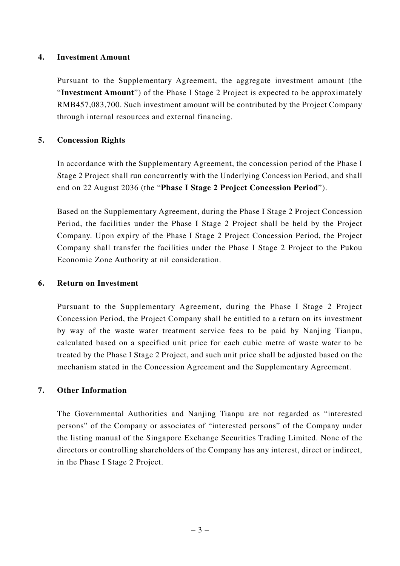#### **4. Investment Amount**

Pursuant to the Supplementary Agreement, the aggregate investment amount (the "**Investment Amount**") of the Phase I Stage 2 Project is expected to be approximately RMB457,083,700. Such investment amount will be contributed by the Project Company through internal resources and external financing.

## **5. Concession Rights**

In accordance with the Supplementary Agreement, the concession period of the Phase I Stage 2 Project shall run concurrently with the Underlying Concession Period, and shall end on 22 August 2036 (the "**Phase I Stage 2 Project Concession Period**").

Based on the Supplementary Agreement, during the Phase I Stage 2 Project Concession Period, the facilities under the Phase I Stage 2 Project shall be held by the Project Company. Upon expiry of the Phase I Stage 2 Project Concession Period, the Project Company shall transfer the facilities under the Phase I Stage 2 Project to the Pukou Economic Zone Authority at nil consideration.

#### **6. Return on Investment**

Pursuant to the Supplementary Agreement, during the Phase I Stage 2 Project Concession Period, the Project Company shall be entitled to a return on its investment by way of the waste water treatment service fees to be paid by Nanjing Tianpu, calculated based on a specified unit price for each cubic metre of waste water to be treated by the Phase I Stage 2 Project, and such unit price shall be adjusted based on the mechanism stated in the Concession Agreement and the Supplementary Agreement.

## **7. Other Information**

The Governmental Authorities and Nanjing Tianpu are not regarded as "interested persons" of the Company or associates of "interested persons" of the Company under the listing manual of the Singapore Exchange Securities Trading Limited. None of the directors or controlling shareholders of the Company has any interest, direct or indirect, in the Phase I Stage 2 Project.